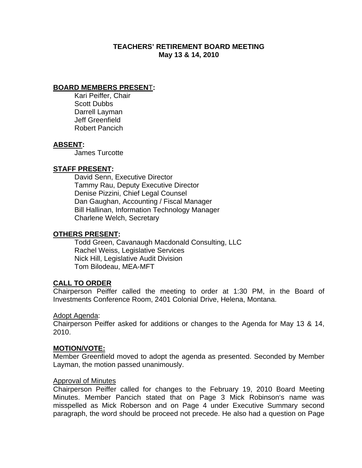# **TEACHERS' RETIREMENT BOARD MEETING May 13 & 14, 2010**

### **BOARD MEMBERS PRESEN**T**:**

 Kari Peiffer, Chair Scott Dubbs Darrell Layman Jeff Greenfield Robert Pancich

### **ABSENT:**

James Turcotte

### **STAFF PRESENT:**

 David Senn, Executive Director Tammy Rau, Deputy Executive Director Denise Pizzini, Chief Legal Counsel Dan Gaughan, Accounting / Fiscal Manager Bill Hallinan, Information Technology Manager Charlene Welch, Secretary

### **OTHERS PRESENT:**

 Todd Green, Cavanaugh Macdonald Consulting, LLC Rachel Weiss, Legislative Services Nick Hill, Legislative Audit Division Tom Bilodeau, MEA-MFT

### **CALL TO ORDER**

Chairperson Peiffer called the meeting to order at 1:30 PM, in the Board of Investments Conference Room, 2401 Colonial Drive, Helena, Montana.

#### Adopt Agenda:

Chairperson Peiffer asked for additions or changes to the Agenda for May 13 & 14, 2010.

### **MOTION/VOTE:**

Member Greenfield moved to adopt the agenda as presented. Seconded by Member Layman, the motion passed unanimously.

#### Approval of Minutes

Chairperson Peiffer called for changes to the February 19, 2010 Board Meeting Minutes. Member Pancich stated that on Page 3 Mick Robinson's name was misspelled as Mick Roberson and on Page 4 under Executive Summary second paragraph, the word should be proceed not precede. He also had a question on Page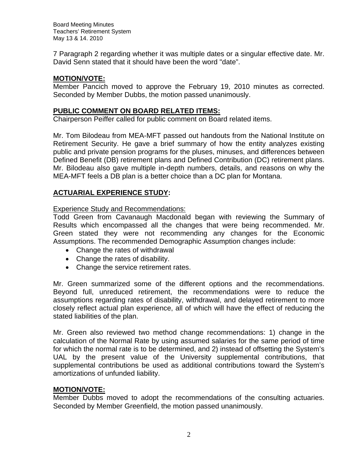7 Paragraph 2 regarding whether it was multiple dates or a singular effective date. Mr. David Senn stated that it should have been the word "date".

# **MOTION/VOTE:**

Member Pancich moved to approve the February 19, 2010 minutes as corrected. Seconded by Member Dubbs, the motion passed unanimously.

# **PUBLIC COMMENT ON BOARD RELATED ITEMS:**

Chairperson Peiffer called for public comment on Board related items.

Mr. Tom Bilodeau from MEA-MFT passed out handouts from the National Institute on Retirement Security. He gave a brief summary of how the entity analyzes existing public and private pension programs for the pluses, minuses, and differences between Defined Benefit (DB) retirement plans and Defined Contribution (DC) retirement plans. Mr. Bilodeau also gave multiple in-depth numbers, details, and reasons on why the MEA-MFT feels a DB plan is a better choice than a DC plan for Montana.

# **ACTUARIAL EXPERIENCE STUDY:**

# Experience Study and Recommendations:

Todd Green from Cavanaugh Macdonald began with reviewing the Summary of Results which encompassed all the changes that were being recommended. Mr. Green stated they were not recommending any changes for the Economic Assumptions. The recommended Demographic Assumption changes include:

- Change the rates of withdrawal
- Change the rates of disability.
- Change the service retirement rates.

Mr. Green summarized some of the different options and the recommendations. Beyond full, unreduced retirement, the recommendations were to reduce the assumptions regarding rates of disability, withdrawal, and delayed retirement to more closely reflect actual plan experience, all of which will have the effect of reducing the stated liabilities of the plan.

Mr. Green also reviewed two method change recommendations: 1) change in the calculation of the Normal Rate by using assumed salaries for the same period of time for which the normal rate is to be determined, and 2) instead of offsetting the System's UAL by the present value of the University supplemental contributions, that supplemental contributions be used as additional contributions toward the System's amortizations of unfunded liability.

# **MOTION/VOTE:**

Member Dubbs moved to adopt the recommendations of the consulting actuaries. Seconded by Member Greenfield, the motion passed unanimously.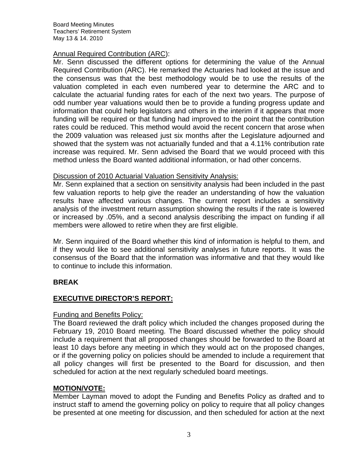### Annual Required Contribution (ARC):

Mr. Senn discussed the different options for determining the value of the Annual Required Contribution (ARC). He remarked the Actuaries had looked at the issue and the consensus was that the best methodology would be to use the results of the valuation completed in each even numbered year to determine the ARC and to calculate the actuarial funding rates for each of the next two years. The purpose of odd number year valuations would then be to provide a funding progress update and information that could help legislators and others in the interim if it appears that more funding will be required or that funding had improved to the point that the contribution rates could be reduced. This method would avoid the recent concern that arose when the 2009 valuation was released just six months after the Legislature adjourned and showed that the system was not actuarially funded and that a 4.11% contribution rate increase was required. Mr. Senn advised the Board that we would proceed with this method unless the Board wanted additional information, or had other concerns.

### Discussion of 2010 Actuarial Valuation Sensitivity Analysis:

Mr. Senn explained that a section on sensitivity analysis had been included in the past few valuation reports to help give the reader an understanding of how the valuation results have affected various changes. The current report includes a sensitivity analysis of the investment return assumption showing the results if the rate is lowered or increased by .05%, and a second analysis describing the impact on funding if all members were allowed to retire when they are first eligible.

Mr. Senn inquired of the Board whether this kind of information is helpful to them, and if they would like to see additional sensitivity analyses in future reports. It was the consensus of the Board that the information was informative and that they would like to continue to include this information.

# **BREAK**

# **EXECUTIVE DIRECTOR'S REPORT:**

# Funding and Benefits Policy:

The Board reviewed the draft policy which included the changes proposed during the February 19, 2010 Board meeting. The Board discussed whether the policy should include a requirement that all proposed changes should be forwarded to the Board at least 10 days before any meeting in which they would act on the proposed changes, or if the governing policy on policies should be amended to include a requirement that all policy changes will first be presented to the Board for discussion, and then scheduled for action at the next regularly scheduled board meetings.

# **MOTION/VOTE:**

Member Layman moved to adopt the Funding and Benefits Policy as drafted and to instruct staff to amend the governing policy on policy to require that all policy changes be presented at one meeting for discussion, and then scheduled for action at the next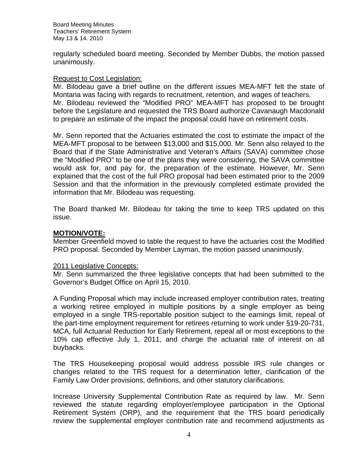regularly scheduled board meeting. Seconded by Member Dubbs, the motion passed unanimously.

### Request to Cost Legislation:

Mr. Bilodeau gave a brief outline on the different issues MEA-MFT felt the state of Montana was facing with regards to recruitment, retention, and wages of teachers. Mr. Bilodeau reviewed the "Modified PRO" MEA-MFT has proposed to be brought before the Legislature and requested the TRS Board authorize Cavanaugh Macdonald to prepare an estimate of the impact the proposal could have on retirement costs.

Mr. Senn reported that the Actuaries estimated the cost to estimate the impact of the MEA-MFT proposal to be between \$13,000 and \$15,000. Mr. Senn also relayed to the Board that if the State Administrative and Veteran's Affairs (SAVA) committee chose the "Modified PRO" to be one of the plans they were considering, the SAVA committee would ask for, and pay for, the preparation of the estimate. However, Mr. Senn explained that the cost of the full PRO proposal had been estimated prior to the 2009 Session and that the information in the previously completed estimate provided the information that Mr. Bilodeau was requesting.

The Board thanked Mr. Bilodeau for taking the time to keep TRS updated on this issue.

### **MOTION/VOTE:**

Member Greenfield moved to table the request to have the actuaries cost the Modified PRO proposal. Seconded by Member Layman, the motion passed unanimously.

### 2011 Legislative Concepts:

Mr. Senn summarized the three legislative concepts that had been submitted to the Governor's Budget Office on April 15, 2010.

A Funding Proposal which may include increased employer contribution rates, treating a working retiree employed in multiple positions by a single employer as being employed in a single TRS-reportable position subject to the earnings limit, repeal of the part-time employment requirement for retirees returning to work under §19-20-731, MCA, full Actuarial Reduction for Early Retirement, repeal all or most exceptions to the 10% cap effective July 1, 2011, and charge the actuarial rate of interest on all buybacks.

The TRS Housekeeping proposal would address possible IRS rule changes or changes related to the TRS request for a determination letter, clarification of the Family Law Order provisions, definitions, and other statutory clarifications.

Increase University Supplemental Contribution Rate as required by law. Mr. Senn reviewed the statute regarding employer/employee participation in the Optional Retirement System (ORP), and the requirement that the TRS board periodically review the supplemental employer contribution rate and recommend adjustments as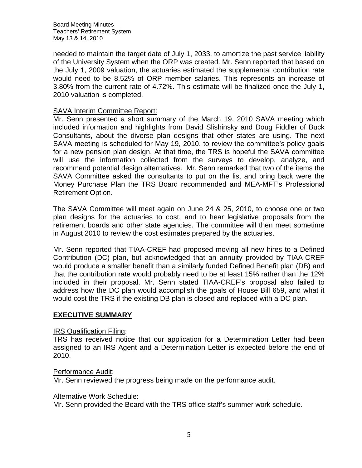needed to maintain the target date of July 1, 2033, to amortize the past service liability of the University System when the ORP was created. Mr. Senn reported that based on the July 1, 2009 valuation, the actuaries estimated the supplemental contribution rate would need to be 8.52% of ORP member salaries. This represents an increase of 3.80% from the current rate of 4.72%. This estimate will be finalized once the July 1, 2010 valuation is completed.

### SAVA Interim Committee Report:

Mr. Senn presented a short summary of the March 19, 2010 SAVA meeting which included information and highlights from David Slishinsky and Doug Fiddler of Buck Consultants, about the diverse plan designs that other states are using. The next SAVA meeting is scheduled for May 19, 2010, to review the committee's policy goals for a new pension plan design. At that time, the TRS is hopeful the SAVA committee will use the information collected from the surveys to develop, analyze, and recommend potential design alternatives. Mr. Senn remarked that two of the items the SAVA Committee asked the consultants to put on the list and bring back were the Money Purchase Plan the TRS Board recommended and MEA-MFT's Professional Retirement Option.

The SAVA Committee will meet again on June 24 & 25, 2010, to choose one or two plan designs for the actuaries to cost, and to hear legislative proposals from the retirement boards and other state agencies. The committee will then meet sometime in August 2010 to review the cost estimates prepared by the actuaries.

Mr. Senn reported that TIAA-CREF had proposed moving all new hires to a Defined Contribution (DC) plan, but acknowledged that an annuity provided by TIAA-CREF would produce a smaller benefit than a similarly funded Defined Benefit plan (DB) and that the contribution rate would probably need to be at least 15% rather than the 12% included in their proposal. Mr. Senn stated TIAA-CREF's proposal also failed to address how the DC plan would accomplish the goals of House Bill 659, and what it would cost the TRS if the existing DB plan is closed and replaced with a DC plan.

### **EXECUTIVE SUMMARY**

### IRS Qualification Filing:

TRS has received notice that our application for a Determination Letter had been assigned to an IRS Agent and a Determination Letter is expected before the end of 2010.

### Performance Audit:

Mr. Senn reviewed the progress being made on the performance audit.

#### Alternative Work Schedule:

Mr. Senn provided the Board with the TRS office staff's summer work schedule.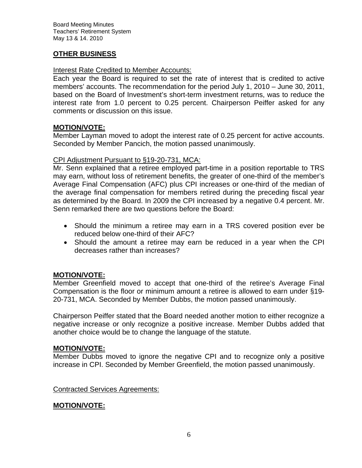# **OTHER BUSINESS**

### Interest Rate Credited to Member Accounts:

Each year the Board is required to set the rate of interest that is credited to active members' accounts. The recommendation for the period July 1, 2010 – June 30, 2011, based on the Board of Investment's short-term investment returns, was to reduce the interest rate from 1.0 percent to 0.25 percent. Chairperson Peiffer asked for any comments or discussion on this issue.

### **MOTION/VOTE:**

Member Layman moved to adopt the interest rate of 0.25 percent for active accounts. Seconded by Member Pancich, the motion passed unanimously.

### CPI Adjustment Pursuant to §19-20-731, MCA:

Mr. Senn explained that a retiree employed part-time in a position reportable to TRS may earn, without loss of retirement benefits, the greater of one-third of the member's Average Final Compensation (AFC) plus CPI increases or one-third of the median of the average final compensation for members retired during the preceding fiscal year as determined by the Board. In 2009 the CPI increased by a negative 0.4 percent. Mr. Senn remarked there are two questions before the Board:

- Should the minimum a retiree may earn in a TRS covered position ever be reduced below one-third of their AFC?
- Should the amount a retiree may earn be reduced in a year when the CPI decreases rather than increases?

# **MOTION/VOTE:**

Member Greenfield moved to accept that one-third of the retiree's Average Final Compensation is the floor or minimum amount a retiree is allowed to earn under §19- 20-731, MCA. Seconded by Member Dubbs, the motion passed unanimously.

Chairperson Peiffer stated that the Board needed another motion to either recognize a negative increase or only recognize a positive increase. Member Dubbs added that another choice would be to change the language of the statute.

# **MOTION/VOTE:**

Member Dubbs moved to ignore the negative CPI and to recognize only a positive increase in CPI. Seconded by Member Greenfield, the motion passed unanimously.

Contracted Services Agreements:

# **MOTION/VOTE:**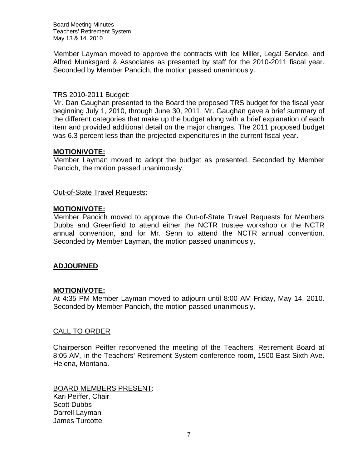Member Layman moved to approve the contracts with Ice Miller, Legal Service, and Alfred Munksgard & Associates as presented by staff for the 2010-2011 fiscal year. Seconded by Member Pancich, the motion passed unanimously.

### TRS 2010-2011 Budget:

Mr. Dan Gaughan presented to the Board the proposed TRS budget for the fiscal year beginning July 1, 2010, through June 30, 2011. Mr. Gaughan gave a brief summary of the different categories that make up the budget along with a brief explanation of each item and provided additional detail on the major changes. The 2011 proposed budget was 6.3 percent less than the projected expenditures in the current fiscal year.

### **MOTION/VOTE:**

Member Layman moved to adopt the budget as presented. Seconded by Member Pancich, the motion passed unanimously.

Out-of-State Travel Requests:

### **MOTION/VOTE:**

Member Pancich moved to approve the Out-of-State Travel Requests for Members Dubbs and Greenfield to attend either the NCTR trustee workshop or the NCTR annual convention, and for Mr. Senn to attend the NCTR annual convention. Seconded by Member Layman, the motion passed unanimously.

# **ADJOURNED**

# **MOTION/VOTE:**

At 4:35 PM Member Layman moved to adjourn until 8:00 AM Friday, May 14, 2010. Seconded by Member Pancich, the motion passed unanimously.

### CALL TO ORDER

Chairperson Peiffer reconvened the meeting of the Teachers' Retirement Board at 8:05 AM, in the Teachers' Retirement System conference room, 1500 East Sixth Ave. Helena, Montana.

BOARD MEMBERS PRESENT: Kari Peiffer, Chair Scott Dubbs Darrell Layman James Turcotte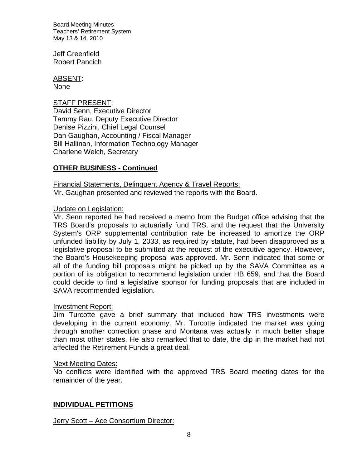Jeff Greenfield Robert Pancich

ABSENT:

None

# STAFF PRESENT:

David Senn, Executive Director Tammy Rau, Deputy Executive Director Denise Pizzini, Chief Legal Counsel Dan Gaughan, Accounting / Fiscal Manager Bill Hallinan, Information Technology Manager Charlene Welch, Secretary

# **OTHER BUSINESS - Continued**

Financial Statements, Delinquent Agency & Travel Reports: Mr. Gaughan presented and reviewed the reports with the Board.

# Update on Legislation:

Mr. Senn reported he had received a memo from the Budget office advising that the TRS Board's proposals to actuarially fund TRS, and the request that the University System's ORP supplemental contribution rate be increased to amortize the ORP unfunded liability by July 1, 2033, as required by statute, had been disapproved as a legislative proposal to be submitted at the request of the executive agency. However, the Board's Housekeeping proposal was approved. Mr. Senn indicated that some or all of the funding bill proposals might be picked up by the SAVA Committee as a portion of its obligation to recommend legislation under HB 659, and that the Board could decide to find a legislative sponsor for funding proposals that are included in SAVA recommended legislation.

# Investment Report:

Jim Turcotte gave a brief summary that included how TRS investments were developing in the current economy. Mr. Turcotte indicated the market was going through another correction phase and Montana was actually in much better shape than most other states. He also remarked that to date, the dip in the market had not affected the Retirement Funds a great deal.

# Next Meeting Dates:

No conflicts were identified with the approved TRS Board meeting dates for the remainder of the year.

# **INDIVIDUAL PETITIONS**

# Jerry Scott – Ace Consortium Director: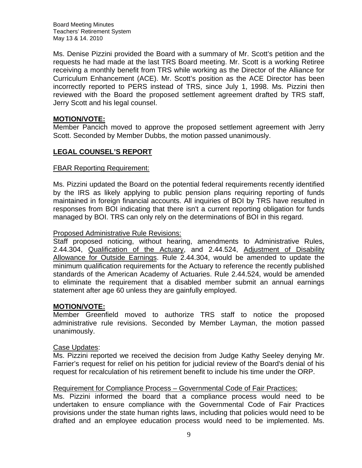Ms. Denise Pizzini provided the Board with a summary of Mr. Scott's petition and the requests he had made at the last TRS Board meeting. Mr. Scott is a working Retiree receiving a monthly benefit from TRS while working as the Director of the Alliance for Curriculum Enhancement (ACE). Mr. Scott's position as the ACE Director has been incorrectly reported to PERS instead of TRS, since July 1, 1998. Ms. Pizzini then reviewed with the Board the proposed settlement agreement drafted by TRS staff, Jerry Scott and his legal counsel.

# **MOTION/VOTE:**

Member Pancich moved to approve the proposed settlement agreement with Jerry Scott. Seconded by Member Dubbs, the motion passed unanimously.

# **LEGAL COUNSEL'S REPORT**

### FBAR Reporting Requirement:

Ms. Pizzini updated the Board on the potential federal requirements recently identified by the IRS as likely applying to public pension plans requiring reporting of funds maintained in foreign financial accounts. All inquiries of BOI by TRS have resulted in responses from BOI indicating that there isn't a current reporting obligation for funds managed by BOI. TRS can only rely on the determinations of BOI in this regard.

### Proposed Administrative Rule Revisions:

Staff proposed noticing, without hearing, amendments to Administrative Rules, 2.44.304, Qualification of the Actuary, and 2.44.524, Adjustment of Disability Allowance for Outside Earnings. Rule 2.44.304, would be amended to update the minimum qualification requirements for the Actuary to reference the recently published standards of the American Academy of Actuaries. Rule 2.44.524, would be amended to eliminate the requirement that a disabled member submit an annual earnings statement after age 60 unless they are gainfully employed.

# **MOTION/VOTE:**

Member Greenfield moved to authorize TRS staff to notice the proposed administrative rule revisions. Seconded by Member Layman, the motion passed unanimously.

### Case Updates:

Ms. Pizzini reported we received the decision from Judge Kathy Seeley denying Mr. Farrier's request for relief on his petition for judicial review of the Board's denial of his request for recalculation of his retirement benefit to include his time under the ORP.

# Requirement for Compliance Process – Governmental Code of Fair Practices:

Ms. Pizzini informed the board that a compliance process would need to be undertaken to ensure compliance with the Governmental Code of Fair Practices provisions under the state human rights laws, including that policies would need to be drafted and an employee education process would need to be implemented. Ms.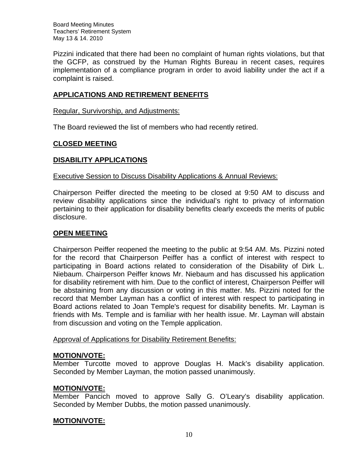Pizzini indicated that there had been no complaint of human rights violations, but that the GCFP, as construed by the Human Rights Bureau in recent cases, requires implementation of a compliance program in order to avoid liability under the act if a complaint is raised.

# **APPLICATIONS AND RETIREMENT BENEFITS**

Regular, Survivorship, and Adjustments:

The Board reviewed the list of members who had recently retired.

### **CLOSED MEETING**

# **DISABILITY APPLICATIONS**

### Executive Session to Discuss Disability Applications & Annual Reviews:

Chairperson Peiffer directed the meeting to be closed at 9:50 AM to discuss and review disability applications since the individual's right to privacy of information pertaining to their application for disability benefits clearly exceeds the merits of public disclosure.

### **OPEN MEETING**

Chairperson Peiffer reopened the meeting to the public at 9:54 AM. Ms. Pizzini noted for the record that Chairperson Peiffer has a conflict of interest with respect to participating in Board actions related to consideration of the Disability of Dirk L. Niebaum. Chairperson Peiffer knows Mr. Niebaum and has discussed his application for disability retirement with him. Due to the conflict of interest, Chairperson Peiffer will be abstaining from any discussion or voting in this matter. Ms. Pizzini noted for the record that Member Layman has a conflict of interest with respect to participating in Board actions related to Joan Temple's request for disability benefits. Mr. Layman is friends with Ms. Temple and is familiar with her health issue. Mr. Layman will abstain from discussion and voting on the Temple application.

Approval of Applications for Disability Retirement Benefits:

### **MOTION/VOTE:**

Member Turcotte moved to approve Douglas H. Mack's disability application. Seconded by Member Layman, the motion passed unanimously.

### **MOTION/VOTE:**

Member Pancich moved to approve Sally G. O'Leary's disability application. Seconded by Member Dubbs, the motion passed unanimously.

### **MOTION/VOTE:**